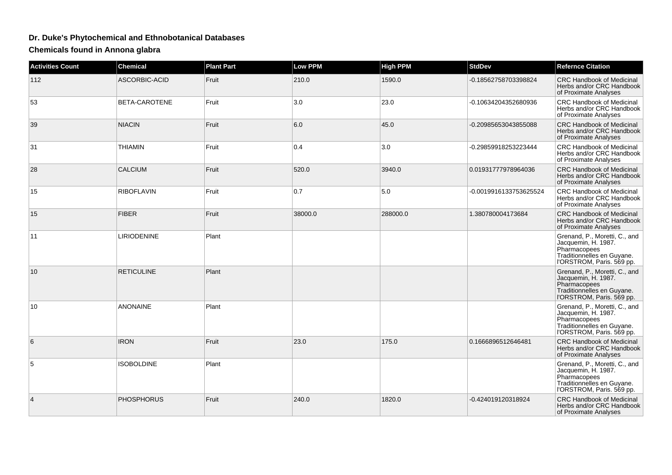## **Dr. Duke's Phytochemical and Ethnobotanical Databases**

**Chemicals found in Annona glabra**

| <b>Activities Count</b> | <b>Chemical</b>    | <b>Plant Part</b> | <b>Low PPM</b> | <b>High PPM</b> | <b>StdDev</b>          | <b>Refernce Citation</b>                                                                                                        |
|-------------------------|--------------------|-------------------|----------------|-----------------|------------------------|---------------------------------------------------------------------------------------------------------------------------------|
| 112                     | ASCORBIC-ACID      | Fruit             | 210.0          | 1590.0          | -0.18562758703398824   | <b>CRC Handbook of Medicinal</b><br>Herbs and/or CRC Handbook<br>of Proximate Analyses                                          |
| 53                      | BETA-CAROTENE      | Fruit             | 3.0            | 23.0            | -0.10634204352680936   | <b>CRC Handbook of Medicinal</b><br>Herbs and/or CRC Handbook<br>of Proximate Analyses                                          |
| 39                      | <b>NIACIN</b>      | Fruit             | 6.0            | 45.0            | -0.20985653043855088   | <b>CRC Handbook of Medicinal</b><br>Herbs and/or CRC Handbook<br>of Proximate Analyses                                          |
| 31                      | <b>THIAMIN</b>     | Fruit             | 0.4            | 3.0             | -0.29859918253223444   | <b>CRC Handbook of Medicinal</b><br>Herbs and/or CRC Handbook<br>of Proximate Analyses                                          |
| 28                      | <b>CALCIUM</b>     | Fruit             | 520.0          | 3940.0          | 0.01931777978964036    | <b>CRC Handbook of Medicinal</b><br>Herbs and/or CRC Handbook<br>of Proximate Analyses                                          |
| 15                      | <b>RIBOFLAVIN</b>  | Fruit             | 0.7            | 5.0             | -0.0019916133753625524 | <b>CRC Handbook of Medicinal</b><br>Herbs and/or CRC Handbook<br>of Proximate Analyses                                          |
| 15                      | <b>FIBER</b>       | Fruit             | 38000.0        | 288000.0        | 1.380780004173684      | <b>CRC Handbook of Medicinal</b><br>Herbs and/or CRC Handbook<br>of Proximate Analyses                                          |
| 11                      | <b>LIRIODENINE</b> | Plant             |                |                 |                        | Grenand, P., Moretti, C., and<br>Jacquemin, H. 1987.<br>Pharmacopees<br>Traditionnelles en Guyane.<br>l'ORSTROM, Paris. 569 pp. |
| 10                      | <b>RETICULINE</b>  | Plant             |                |                 |                        | Grenand, P., Moretti, C., and<br>Jacquemin, H. 1987.<br>Pharmacopees<br>Traditionnelles en Guyane.<br>l'ORSTROM, Paris. 569 pp. |
| 10                      | <b>ANONAINE</b>    | Plant             |                |                 |                        | Grenand, P., Moretti, C., and<br>Jacquemin, H. 1987.<br>Pharmacopees<br>Traditionnelles en Guyane.<br>l'ORSTROM, Paris. 569 pp. |
| 6                       | <b>IRON</b>        | Fruit             | 23.0           | 175.0           | 0.1666896512646481     | <b>CRC Handbook of Medicinal</b><br>Herbs and/or CRC Handbook<br>of Proximate Analyses                                          |
| 5                       | <b>ISOBOLDINE</b>  | Plant             |                |                 |                        | Grenand, P., Moretti, C., and<br>Jacquemin, H. 1987.<br>Pharmacopees<br>Traditionnelles en Guyane.<br>l'ORSTROM, Paris. 569 pp. |
| 4                       | <b>PHOSPHORUS</b>  | Fruit             | 240.0          | 1820.0          | -0.424019120318924     | <b>CRC Handbook of Medicinal</b><br>Herbs and/or CRC Handbook<br>of Proximate Analyses                                          |